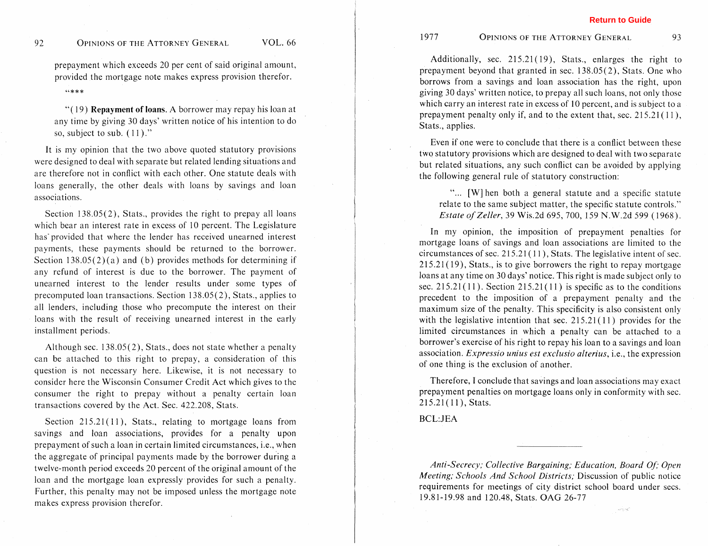prepayment which exceeds 20 per cent of said original amount. provided the mortgage note makes express provision therefor.  $44*$ 

"( 19) **Repayment of loans.** A borrower may repay his loan at any time by giving 30 days' written notice of his intention to do so, subject to sub.  $(11)$ ."

It is my opinion that the two above quoted statutory provisions were designed to deal with separate but related lending situations and are therefore not in conflict with each other. One statute deals with loans generally, the other deals with loans by savings and loan associations.

Section 138.05(2), Stats., provides the right to prepay all loans which bear an interest rate in excess of 10 percent. The Legislature has'provided that where the lender has received unearned interest payments, these payments should be returned to the borrower. Section  $138.05(2)(a)$  and (b) provides methods for determining if any refund of interest is due to the borrower. The payment of unearned interest to the lender results under some types of precomputed loan transactions. Section 138.05(2), Stats., applies to all lenders, including those who precompute the interest on their loans with the result of receiving unearned interest in the early installment periods.

Although sec. 138.05(2), Stats., does not state whether a penalty can be attached to this right to prepay, a consideration of this question is not necessary here. Likewise, it is not necessary to consider here the Wisconsin Consumer Credit Act which gives to the consumer the right to prepay without a penalty certain loan transactions covered by the Act. Sec. 422.208, Stats.

Section  $215.21(11)$ , Stats., relating to mortgage loans from savings and loan associations, provides for a penalty upon prepayment of such a loan in certain limited circumstances, i.e., when the aggregate of principal payments made by the borrower during a twelve-month period exceeds 20 percent of the original amount of the loan and the mortgage loan expressly provides for such a penalty. Further, this penalty may not be imposed unless the mortgage note makes express provision therefor.

Additionally, sec. 215.21(19), Stats., enlarges the right to prepayment beyond that granted in sec. 138.05(2), Stats. One who borrows from a savings and loan association has the right, upon giving 30 days' written notice, to prepay all such loans, not only those which carry an interest rate in excess of 10 percent, and is subject to a prepayment penalty only if, and to the extent that, sec.  $215.21(11)$ , Stats., applies.

Even if one were to conclude that there is a conflict between these two statutory provisions which are designed to deal with two separate but related situations, any such conflict can be avoided by applying the following general rule of statutory construction:

"... [W] hen both a general statute and a specific statute relate to the same subject matter, the specific statute controls." *Estate of Zeller,* 39 Wis.2d 695, 700, 159 N.W.2d 599 ( 1968).

In my opinion, the imposition of prepayment penalties for mortgage loans of savings and loan associations are limited to the circumstances of sec.  $215.21(11)$ , Stats. The legislative intent of sec.  $215.21(19)$ , Stats., is to give borrowers the right to repay mortgage loans at any time on 30 days' notice. This right is made subject only to sec.  $215.21(11)$ . Section  $215.21(11)$  is specific as to the conditions precedent to the imposition of a prepayment penalty and the maximum size of the penalty. This specificity is also consistent only with the legislative intention that sec.  $215.21(11)$  provides for the limited circumstances in which a penalty can be attached to a borrower's exercise of his right to repay his loan to a savings and loan association. *Expressio unius est exclusio alterius,* i.e., the expression of one thing is the exclusion of another.

Therefore, **1** conclude that savings and loan associations may exact prepayment penalties on mortgage loans only in conformity with sec.  $215.21(11)$ , Stats.

**BCL:JEA** 

1977

*Anti-Secrecy; Collective Bargaining; Education, Board Of: Open Meeting; Schools And School Districts;* Discussion of public notice requirements for meetings of city district school board under secs. 19.81-19.98 and 120.48, Stats. OAG 26-77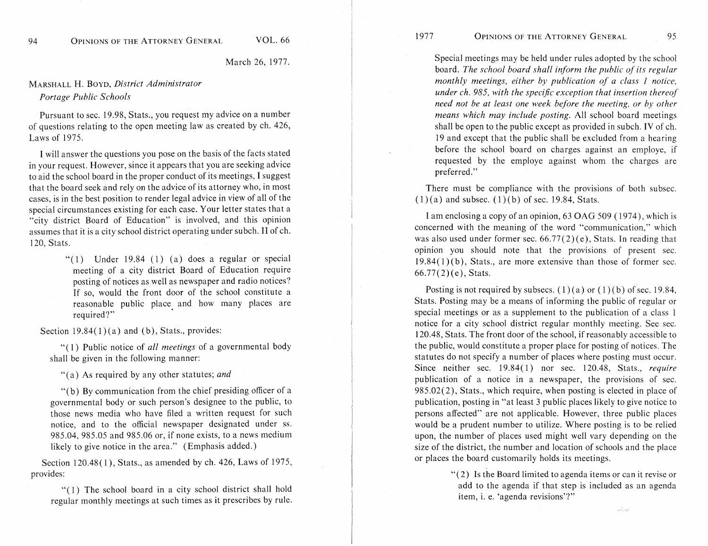March 26, 1977.

## MARSHALL H. BOYD, *District Administrator Portage Public Schools*

Pursuant to sec. 19.98, Stats., you request my advice on a number of questions relating to the open meeting law as created by ch. 426, Eaws of 1975.

I will answer the questions you pose on the basis of the facts stated in your request. However, since it appears that you are seeking advice to aid the school board in the proper conduct of its meetings, 1 suggest that the board seek and rely on the advice of its attorney who, in most cases, is in the best position to render legal advice in view of all of the special circumstances existing for each case. Your letter states that a "city district Board of Education" is involved, and this opinion assumes that it is a city school district operating under subch. I1 of ch. 120, Stats.

> "(1) Under  $19.84$  (1) (a) does a regular or special meeting of a city district Board of Education require posting of notices as well as newspaper and radio notices? If so, would the front door of the school constitute a reasonable public place and how many places are required?"

Section  $19.84(1)(a)$  and (b), Stats., provides:

"(1) Public notice of *all meetings* of a governmental body shall be given in the following manner:

"(a) As required by any other statutes; *and* 

"(b) By communication from the chief presiding officer of a governmental body or such person's designee to the public, to those news media who have filed a written request for such notice, and to the official newspaper designated under ss. 985.04, 985.05 and 985.06 or, if none exists, to a news medium likely to give notice in the area." (Emphasis added.)

Section 120.48(1), Stats., as amended by ch. 426, Laws of 1975, provides:

"(1) The school board in a city school district shall hold regular monthly meetings at such times as it prescribes by rule.

Special meetings may be held under rules adopted by the school board. The school board shall inform the public of its regular *monthly meetings, either by publication of a class 1 notice, under ch. 985, with the specijc exception that insertion thereof need not be at least one week before the meeting, or by other means which may include posting.* All school board meetings shall be open to the public except as provided in subch. IV of ch. 19 and except that the public shall be excluded from a hearing before the school board on charges against an employe, if requested by the employe against whom the charges are preferred."

95

There must be compliance with the provisions of both subsec.  $(1)(a)$  and subsec.  $(1)(b)$  of sec. 19.84, Stats.

I am enclosing a copy of an opinion, 63 **QAG** 509 ( 1974), which is concerned with the meaning of the word "communication," which was also used under former sec.  $66.77(2)(e)$ , Stats. In reading that opinion you should note that the provisions of present sec.  $19.84(1)$  (b), Stats., are more extensive than those of former sec.  $66.77(2)$  (e), Stats.

Posting is not required by subsecs. (1)(a) or (1)(b) of sec. 19.84, Stats. Posting may be a means of informing the public of regular or special meetings or as a supplement to the publication of a class 1 notice for a city school district regular monthly meeting. See sec. 120.48, Stats. The front door of the school, if reasonably accessible to the public, would constitute a proper place for posting of notices. The statutes do not specify a number of places where posting must occur. Since neither sec. 19.84(1) nor sec. 120.48, Stats., *require*  publication of a notice in a newspaper, the provisions of sec. 985.02(2), Stats., which require, when posting is elected in place of publication, posting in "at least 3 public places likely to give notice to persons affected" are not applicable. However, three public places would be a prudent number to utilize. Where posting is to be relied upon, the number of places used might well vary depending on the size of the district, the number and location of schools and the place or places the board customarily holds its meetings.

> "(2) Is the Board limited to agenda items or can it revise or add to the agenda if that step is included as an agenda item, i. e. 'agenda revisions'?"

> > white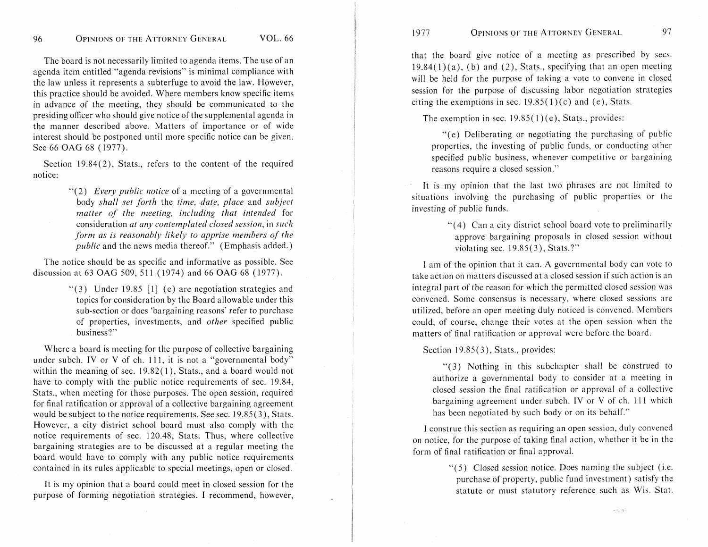The board is not necessarily limited to agenda items. The use of an agenda item entitled "agenda revisions" is minimal compliance with the law unless it represents a subterfuge to avoid the law. However, this practice should be avoided. Where members know specific items in advance of the meeting, they should be communicated to the presiding officer who should give notice of the supplemental agenda in the manner described above. Matters of importance or of wide interest should be postponed until more specific notice can be given. See 66 OAG 68 (1977).

Section 19.84(2), Stats., refers to the content of the required notice:

> '"2) *Every public notice* of a meeting of a governmental body *shall set forth* the *time, date, place* and *subject matter of the meeting, including that intended* for consideration *at any contemplated closed session,* in *such form as is reasonably likely to apprise members of the public* and the news media thereof." (Emphasis added.)

The notice should be as specific and informative as possible. See discussion at 63 **OAG** 509, 5 1 1 ( 1974) and 66 **OAG** 68 ( 1977).

> "(3) Under 19.85 [I] (e) are negotiation strategies and topics for consideration by the Board allowable under this sub-section or does 'bargaining reasons' refer to purchase of properties, investments, and *other* specified public business?"

Where a board is meeting for the purpose of collective bargaining under subch. IV or V of ch. 111, it is not a "governmental body" within the meaning of sec. 19.82(1), Stats., and a board would not have to comply with the public notice requirements of sec. 19.84, Stats., when meeting for those purposes. The open session, required for final ratification or approval of a collective bargaining agreement would be subject to the notice requirements. See sec. 19.85(3), Stats. However, a city district school board must also comply with the notice requirements of sec. 120.48, Stats. Thus, where collective bargaining strategies are to be discussed at a regular meeting the board would have to comply with any public notice requirements contained in its rules applicable to special meetings, open or closed.

It is my opinion that a board could meet in closed session for the purpose of forming negotiation strategies. I recommend, however,

that the board give notice of a meeting as prescribed by secs.  $19.84(1)(a)$ , (b) and (2), Stats., specifying that an open meeting will be held for the purpose of taking a vote to convene in closed session for the purpose of discussing labor negotiation strategies citing the exemptions in sec.  $19.85(1)(c)$  and (e), Stats.

The exemption in sec.  $19.85(1)(e)$ , Stats., provides:

"(e) Deliberating or negotiating the purchasing of public properties, the investing of public funds, or conducting other specified public business, whenever competitive or bargaining reasons require a closed session."

It is my opinion that the last two phrases are not limited to situations involving the purchasing of public properties or the investing of public funds.

> "(4) Can a city district school board vote to preliminarily approve bargaining proposals in closed session without violating sec. l9.85(3), Stats.?"

I am of the opinion that it can. **A** governmental body can vote to take action on matters discussed at a closed session if such action is an integral part of the reason for which the permitted closed session was convened. Some consensus is necessary, where closed sessions are utilized, before an open meeting duly noticed is convened. Members could, of course, change their votes at the open session when the matters of final ratification or approval were before the board.

Section 19.85(3), Stats., provides:

"(3) Nothing in this subchapter shall be construed to authorize a governmental body to consider at a meeting in closed session the final ratification or approval of a collective bargaining agreement under subch. IV or V of ch. 111 which has been negotiated by such body or on its behalf."

I construe this section as requiring an open session, duly convened on notice, for the purpose of taking final action, whether it be in the form of final ratification or final approval.

> *"(5)* Closed session notice. Does naming the subject (i.e. purchase of property, public fund investment) satisfy the statute or must statutory reference such as Wis. Stat.

> > volung.

97